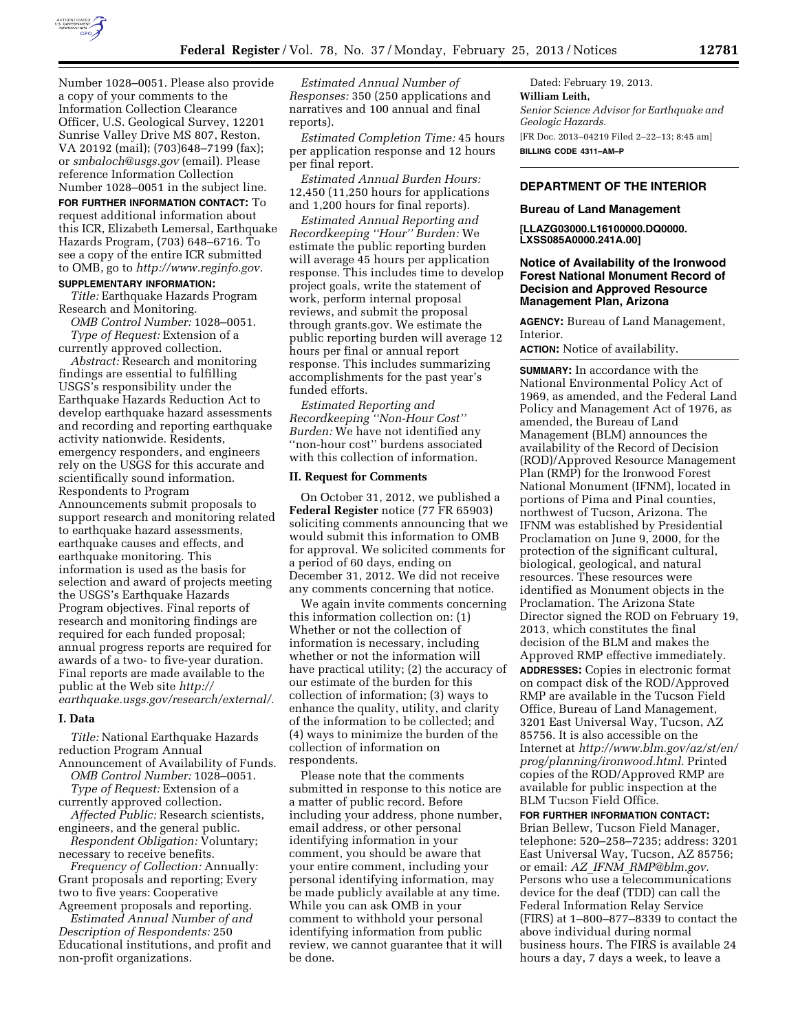

Number 1028–0051. Please also provide a copy of your comments to the Information Collection Clearance Officer, U.S. Geological Survey, 12201 Sunrise Valley Drive MS 807, Reston, VA 20192 (mail); (703)648–7199 (fax); or *[smbaloch@usgs.gov](mailto:smbaloch@usgs.gov)* (email). Please reference Information Collection Number 1028–0051 in the subject line.

**FOR FURTHER INFORMATION CONTACT:** To request additional information about this ICR, Elizabeth Lemersal, Earthquake Hazards Program, (703) 648–6716. To see a copy of the entire ICR submitted to OMB, go to *[http://www.reginfo.gov.](http://www.reginfo.gov)*  **SUPPLEMENTARY INFORMATION:** 

*Title:* Earthquake Hazards Program Research and Monitoring.

*OMB Control Number:* 1028–0051. *Type of Request:* Extension of a currently approved collection.

*Abstract:* Research and monitoring findings are essential to fulfilling USGS's responsibility under the Earthquake Hazards Reduction Act to develop earthquake hazard assessments and recording and reporting earthquake activity nationwide. Residents, emergency responders, and engineers rely on the USGS for this accurate and scientifically sound information. Respondents to Program Announcements submit proposals to support research and monitoring related to earthquake hazard assessments, earthquake causes and effects, and earthquake monitoring. This information is used as the basis for selection and award of projects meeting the USGS's Earthquake Hazards Program objectives. Final reports of research and monitoring findings are required for each funded proposal; annual progress reports are required for awards of a two- to five-year duration. Final reports are made available to the public at the Web site *[http://](http://earthquake.usgs.gov/research/external/)  [earthquake.usgs.gov/research/external/.](http://earthquake.usgs.gov/research/external/)* 

#### **I. Data**

*Title:* National Earthquake Hazards reduction Program Annual

Announcement of Availability of Funds. *OMB Control Number:* 1028–0051.

*Type of Request:* Extension of a currently approved collection.

*Affected Public:* Research scientists, engineers, and the general public.

*Respondent Obligation:* Voluntary; necessary to receive benefits.

*Frequency of Collection:* Annually: Grant proposals and reporting; Every two to five years: Cooperative Agreement proposals and reporting.

*Estimated Annual Number of and Description of Respondents:* 250 Educational institutions, and profit and non-profit organizations.

*Estimated Annual Number of Responses:* 350 (250 applications and narratives and 100 annual and final reports).

*Estimated Completion Time:* 45 hours per application response and 12 hours per final report.

*Estimated Annual Burden Hours:*  12,450 (11,250 hours for applications and 1,200 hours for final reports).

*Estimated Annual Reporting and Recordkeeping ''Hour'' Burden:* We estimate the public reporting burden will average 45 hours per application response. This includes time to develop project goals, write the statement of work, perform internal proposal reviews, and submit the proposal through grants.gov. We estimate the public reporting burden will average 12 hours per final or annual report response. This includes summarizing accomplishments for the past year's funded efforts.

*Estimated Reporting and Recordkeeping ''Non-Hour Cost'' Burden:* We have not identified any ''non-hour cost'' burdens associated with this collection of information.

# **II. Request for Comments**

On October 31, 2012, we published a **Federal Register** notice (77 FR 65903) soliciting comments announcing that we would submit this information to OMB for approval. We solicited comments for a period of 60 days, ending on December 31, 2012. We did not receive any comments concerning that notice.

We again invite comments concerning this information collection on: (1) Whether or not the collection of information is necessary, including whether or not the information will have practical utility; (2) the accuracy of our estimate of the burden for this collection of information; (3) ways to enhance the quality, utility, and clarity of the information to be collected; and (4) ways to minimize the burden of the collection of information on respondents.

Please note that the comments submitted in response to this notice are a matter of public record. Before including your address, phone number, email address, or other personal identifying information in your comment, you should be aware that your entire comment, including your personal identifying information, may be made publicly available at any time. While you can ask OMB in your comment to withhold your personal identifying information from public review, we cannot guarantee that it will be done.

Dated: February 19, 2013. **William Leith,**  *Senior Science Advisor for Earthquake and Geologic Hazards.*  [FR Doc. 2013–04219 Filed 2–22–13; 8:45 am] **BILLING CODE 4311–AM–P** 

# **DEPARTMENT OF THE INTERIOR**

### **Bureau of Land Management**

**[LLAZG03000.L16100000.DQ0000. LXSS085A0000.241A.00]** 

## **Notice of Availability of the Ironwood Forest National Monument Record of Decision and Approved Resource Management Plan, Arizona**

**AGENCY:** Bureau of Land Management, Interior.

**ACTION:** Notice of availability.

**SUMMARY:** In accordance with the National Environmental Policy Act of 1969, as amended, and the Federal Land Policy and Management Act of 1976, as amended, the Bureau of Land Management (BLM) announces the availability of the Record of Decision (ROD)/Approved Resource Management Plan (RMP) for the Ironwood Forest National Monument (IFNM), located in portions of Pima and Pinal counties, northwest of Tucson, Arizona. The IFNM was established by Presidential Proclamation on June 9, 2000, for the protection of the significant cultural, biological, geological, and natural resources. These resources were identified as Monument objects in the Proclamation. The Arizona State Director signed the ROD on February 19, 2013, which constitutes the final decision of the BLM and makes the Approved RMP effective immediately. **ADDRESSES:** Copies in electronic format on compact disk of the ROD/Approved RMP are available in the Tucson Field Office, Bureau of Land Management, 3201 East Universal Way, Tucson, AZ 85756. It is also accessible on the Internet at *[http://www.blm.gov/az/st/en/](http://www.blm.gov/az/st/en/prog/planning/ironwood.html) [prog/planning/ironwood.html.](http://www.blm.gov/az/st/en/prog/planning/ironwood.html)* Printed copies of the ROD/Approved RMP are available for public inspection at the BLM Tucson Field Office.

**FOR FURTHER INFORMATION CONTACT:** 

Brian Bellew, Tucson Field Manager, telephone: 520–258–7235; address: 3201 East Universal Way, Tucson, AZ 85756; or email: *AZ*\_*IFNM*\_*[RMP@blm.gov.](mailto:AZ_IFNM_RMP@blm.gov)*  Persons who use a telecommunications device for the deaf (TDD) can call the Federal Information Relay Service (FIRS) at 1–800–877–8339 to contact the above individual during normal business hours. The FIRS is available 24 hours a day, 7 days a week, to leave a